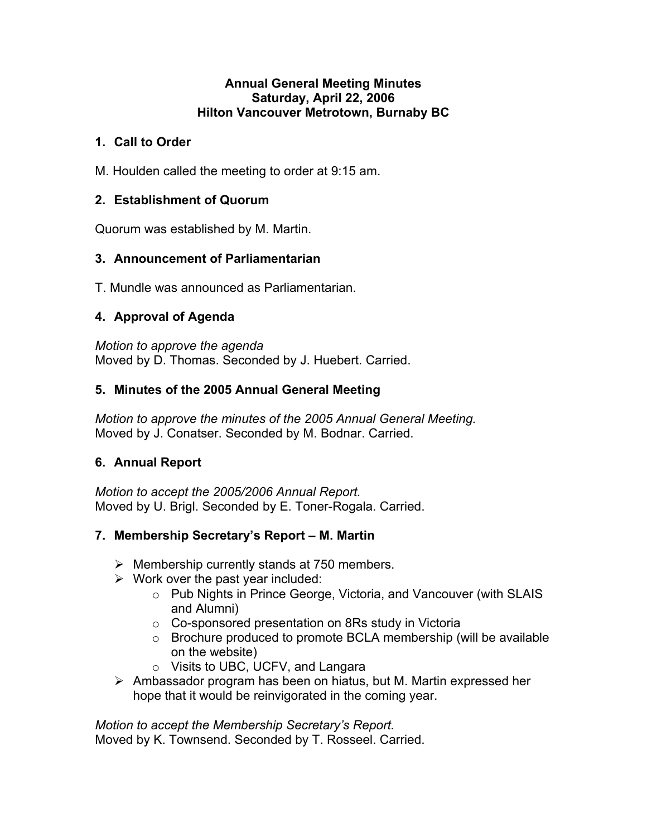### **Annual General Meeting Minutes Saturday, April 22, 2006 Hilton Vancouver Metrotown, Burnaby BC**

## **1. Call to Order**

M. Houlden called the meeting to order at 9:15 am.

## **2. Establishment of Quorum**

Quorum was established by M. Martin.

# **3. Announcement of Parliamentarian**

T. Mundle was announced as Parliamentarian.

# **4. Approval of Agenda**

*Motion to approve the agenda*  Moved by D. Thomas. Seconded by J. Huebert. Carried.

## **5. Minutes of the 2005 Annual General Meeting**

*Motion to approve the minutes of the 2005 Annual General Meeting.*  Moved by J. Conatser. Seconded by M. Bodnar. Carried.

# **6. Annual Report**

*Motion to accept the 2005/2006 Annual Report.*  Moved by U. Brigl. Seconded by E. Toner-Rogala. Carried.

# **7. Membership Secretary's Report – M. Martin**

- $\triangleright$  Membership currently stands at 750 members.
- $\triangleright$  Work over the past year included:
	- o Pub Nights in Prince George, Victoria, and Vancouver (with SLAIS and Alumni)
	- o Co-sponsored presentation on 8Rs study in Victoria
	- o Brochure produced to promote BCLA membership (will be available on the website)
	- o Visits to UBC, UCFV, and Langara
- $\triangleright$  Ambassador program has been on hiatus, but M. Martin expressed her hope that it would be reinvigorated in the coming year.

*Motion to accept the Membership Secretary's Report.*

Moved by K. Townsend. Seconded by T. Rosseel. Carried.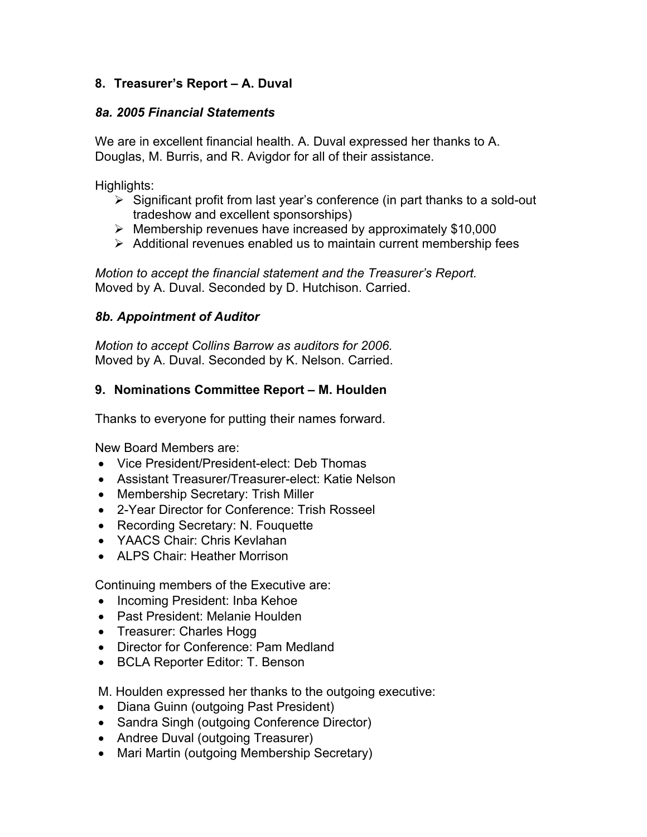# **8. Treasurer's Report – A. Duval**

### *8a. 2005 Financial Statements*

We are in excellent financial health. A. Duval expressed her thanks to A. Douglas, M. Burris, and R. Avigdor for all of their assistance.

Highlights:

- $\triangleright$  Significant profit from last year's conference (in part thanks to a sold-out tradeshow and excellent sponsorships)
- $\triangleright$  Membership revenues have increased by approximately \$10,000
- $\triangleright$  Additional revenues enabled us to maintain current membership fees

*Motion to accept the financial statement and the Treasurer's Report.* Moved by A. Duval. Seconded by D. Hutchison. Carried.

## *8b. Appointment of Auditor*

*Motion to accept Collins Barrow as auditors for 2006.* Moved by A. Duval. Seconded by K. Nelson. Carried.

## **9. Nominations Committee Report – M. Houlden**

Thanks to everyone for putting their names forward.

New Board Members are:

- Vice President/President-elect: Deb Thomas
- Assistant Treasurer/Treasurer-elect: Katie Nelson
- Membership Secretary: Trish Miller
- 2-Year Director for Conference: Trish Rosseel
- Recording Secretary: N. Fouquette
- YAACS Chair: Chris Kevlahan
- ALPS Chair: Heather Morrison

Continuing members of the Executive are:

- Incoming President: Inba Kehoe
- Past President: Melanie Houlden
- Treasurer: Charles Hogg
- Director for Conference: Pam Medland
- BCLA Reporter Editor: T. Benson

M. Houlden expressed her thanks to the outgoing executive:

- Diana Guinn (outgoing Past President)
- Sandra Singh (outgoing Conference Director)
- Andree Duval (outgoing Treasurer)
- Mari Martin (outgoing Membership Secretary)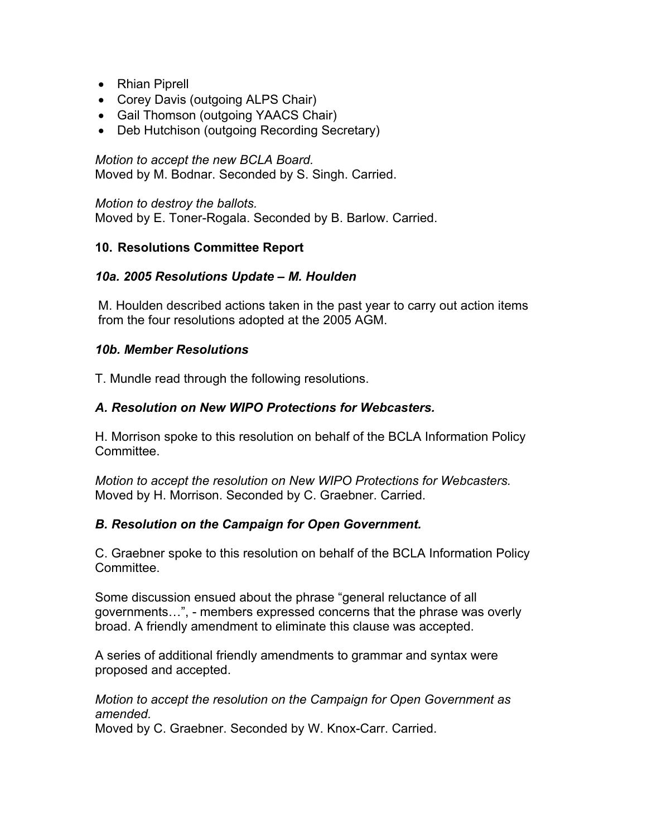- Rhian Piprell
- Corey Davis (outgoing ALPS Chair)
- Gail Thomson (outgoing YAACS Chair)
- Deb Hutchison (outgoing Recording Secretary)

*Motion to accept the new BCLA Board.* Moved by M. Bodnar. Seconded by S. Singh. Carried.

*Motion to destroy the ballots.* Moved by E. Toner-Rogala. Seconded by B. Barlow. Carried.

#### **10. Resolutions Committee Report**

#### *10a. 2005 Resolutions Update – M. Houlden*

M. Houlden described actions taken in the past year to carry out action items from the four resolutions adopted at the 2005 AGM.

#### *10b. Member Resolutions*

T. Mundle read through the following resolutions.

### *A. Resolution on New WIPO Protections for Webcasters.*

H. Morrison spoke to this resolution on behalf of the BCLA Information Policy Committee.

*Motion to accept the resolution on New WIPO Protections for Webcasters.* Moved by H. Morrison. Seconded by C. Graebner. Carried.

#### *B. Resolution on the Campaign for Open Government.*

C. Graebner spoke to this resolution on behalf of the BCLA Information Policy Committee.

Some discussion ensued about the phrase "general reluctance of all governments…", - members expressed concerns that the phrase was overly broad. A friendly amendment to eliminate this clause was accepted.

A series of additional friendly amendments to grammar and syntax were proposed and accepted.

*Motion to accept the resolution on the Campaign for Open Government as amended.*

Moved by C. Graebner. Seconded by W. Knox-Carr. Carried.